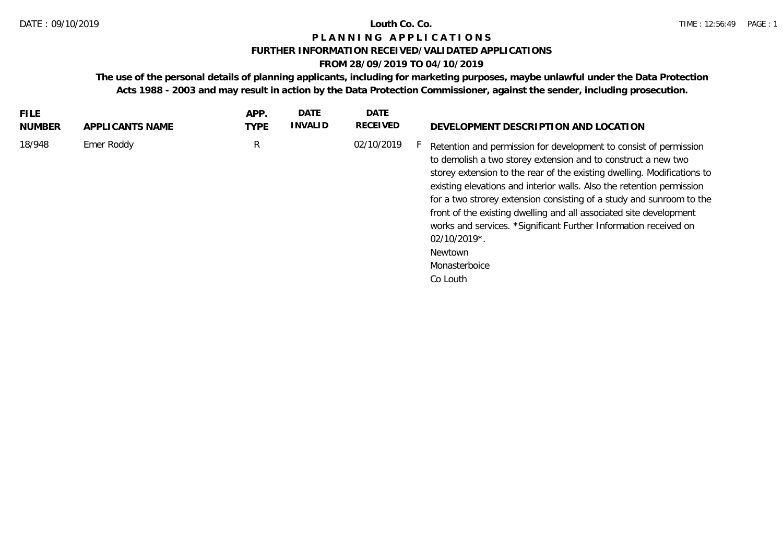### **FURTHER INFORMATION RECEIVED/VALIDATED APPLICATIONS**

# **FROM 28/09/2019 TO 04/10/2019**

**The use of the personal details of planning applicants, including for marketing purposes, maybe unlawful under the Data Protection Acts 1988 - 2003 and may result in action by the Data Protection Commissioner, against the sender, including prosecution.**

| 18/948<br>Emer Roddy<br>02/10/2019<br>R<br>Retention and permission for development to consist of permission<br>to demolish a two storey extension and to construct a new two<br>existing elevations and interior walls. Also the retention permission<br>front of the existing dwelling and all associated site development | FILE.<br>NUMBER | APPLICANTS NAME | APP.<br><b>TYPE</b> | <b>DATE</b><br><b>INVALID</b> | DATE<br>RECEIVED | DEVELOPMENT DESCRIPTION AND LOCATION                                                                                                                                                                                |
|------------------------------------------------------------------------------------------------------------------------------------------------------------------------------------------------------------------------------------------------------------------------------------------------------------------------------|-----------------|-----------------|---------------------|-------------------------------|------------------|---------------------------------------------------------------------------------------------------------------------------------------------------------------------------------------------------------------------|
| $02/10/2019$ <sup>*</sup> .<br>Newtown<br>Monasterboice<br>Co Louth                                                                                                                                                                                                                                                          |                 |                 |                     |                               |                  | storey extension to the rear of the existing dwelling. Modifications to<br>for a two strorey extension consisting of a study and sunroom to the<br>works and services. *Significant Further Information received on |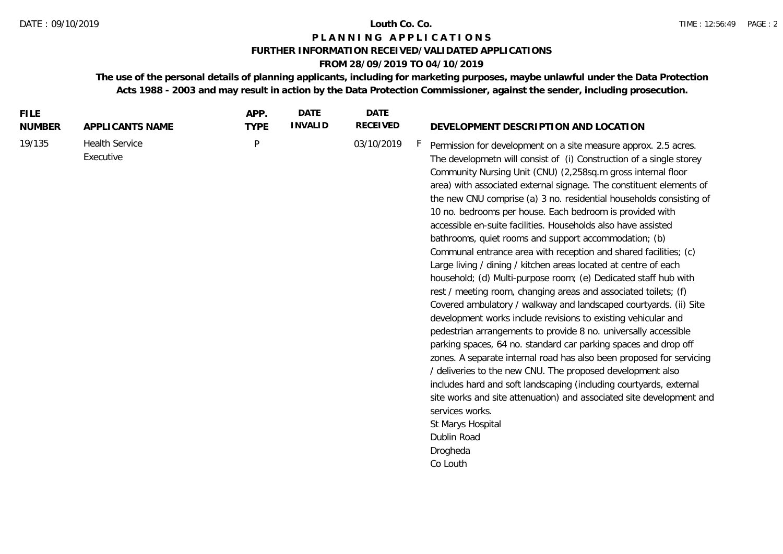### **FURTHER INFORMATION RECEIVED/VALIDATED APPLICATIONS**

# **FROM 28/09/2019 TO 04/10/2019**

**The use of the personal details of planning applicants, including for marketing purposes, maybe unlawful under the Data Protection Acts 1988 - 2003 and may result in action by the Data Protection Commissioner, against the sender, including prosecution.**

| <b>FILE</b><br><b>NUMBER</b> | APPLICANTS NAME                    | APP.<br><b>TYPE</b> | <b>DATE</b><br><b>INVALID</b> | <b>DATE</b><br><b>RECEIVED</b> | DEVELOPMENT DESCRIPTION AND LOCATION                                                                                                                                                                                                                                                                                                                                                                                                                                                                                                                                                                                                                                                                                                                                                                                                                                                                                                                                                                                                                                                                                                                                                                                                                                                                                                                                                                                                                                         |
|------------------------------|------------------------------------|---------------------|-------------------------------|--------------------------------|------------------------------------------------------------------------------------------------------------------------------------------------------------------------------------------------------------------------------------------------------------------------------------------------------------------------------------------------------------------------------------------------------------------------------------------------------------------------------------------------------------------------------------------------------------------------------------------------------------------------------------------------------------------------------------------------------------------------------------------------------------------------------------------------------------------------------------------------------------------------------------------------------------------------------------------------------------------------------------------------------------------------------------------------------------------------------------------------------------------------------------------------------------------------------------------------------------------------------------------------------------------------------------------------------------------------------------------------------------------------------------------------------------------------------------------------------------------------------|
| 19/135                       | <b>Health Service</b><br>Executive | P                   |                               | 03/10/2019                     | F.<br>Permission for development on a site measure approx. 2.5 acres.<br>The developmetn will consist of (i) Construction of a single storey<br>Community Nursing Unit (CNU) (2,258sq.m gross internal floor<br>area) with associated external signage. The constituent elements of<br>the new CNU comprise (a) 3 no. residential households consisting of<br>10 no. bedrooms per house. Each bedroom is provided with<br>accessible en-suite facilities. Households also have assisted<br>bathrooms, quiet rooms and support accommodation; (b)<br>Communal entrance area with reception and shared facilities; (c)<br>Large living / dining / kitchen areas located at centre of each<br>household; (d) Multi-purpose room; (e) Dedicated staff hub with<br>rest / meeting room, changing areas and associated toilets; (f)<br>Covered ambulatory / walkway and landscaped courtyards. (ii) Site<br>development works include revisions to existing vehicular and<br>pedestrian arrangements to provide 8 no. universally accessible<br>parking spaces, 64 no. standard car parking spaces and drop off<br>zones. A separate internal road has also been proposed for servicing<br>/ deliveries to the new CNU. The proposed development also<br>includes hard and soft landscaping (including courtyards, external<br>site works and site attenuation) and associated site development and<br>services works.<br>St Marys Hospital<br>Dublin Road<br>Drogheda<br>Co Louth |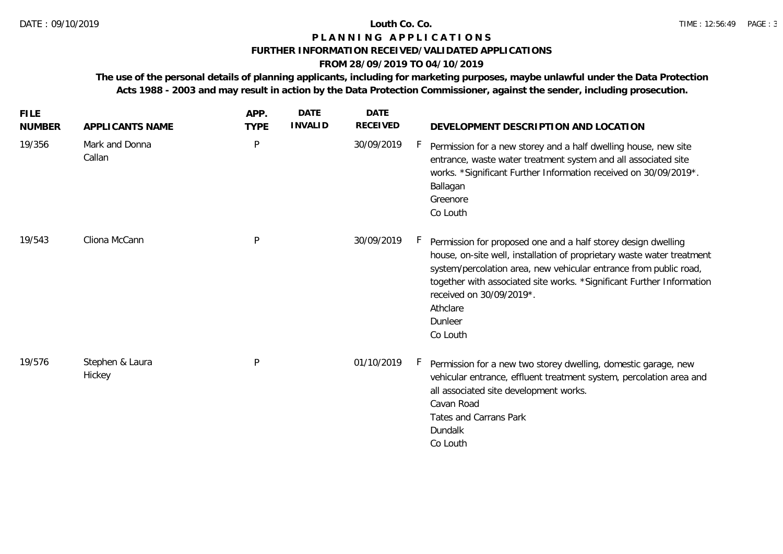### **FURTHER INFORMATION RECEIVED/VALIDATED APPLICATIONS**

# **FROM 28/09/2019 TO 04/10/2019**

**The use of the personal details of planning applicants, including for marketing purposes, maybe unlawful under the Data Protection Acts 1988 - 2003 and may result in action by the Data Protection Commissioner, against the sender, including prosecution.**

| <b>FILE</b><br><b>NUMBER</b> | APPLICANTS NAME           | APP.<br><b>TYPE</b> | <b>DATE</b><br><b>INVALID</b> | <b>DATE</b><br><b>RECEIVED</b> | DEVELOPMENT DESCRIPTION AND LOCATION                                                                                                                                                                                                                                                                                                                 |
|------------------------------|---------------------------|---------------------|-------------------------------|--------------------------------|------------------------------------------------------------------------------------------------------------------------------------------------------------------------------------------------------------------------------------------------------------------------------------------------------------------------------------------------------|
| 19/356                       | Mark and Donna<br>Callan  | P                   |                               | 30/09/2019                     | Permission for a new storey and a half dwelling house, new site<br>entrance, waste water treatment system and all associated site<br>works. *Significant Further Information received on 30/09/2019*.<br>Ballagan<br>Greenore<br>Co Louth                                                                                                            |
| 19/543                       | Cliona McCann             | P                   |                               | 30/09/2019                     | Permission for proposed one and a half storey design dwelling<br>house, on-site well, installation of proprietary waste water treatment<br>system/percolation area, new vehicular entrance from public road,<br>together with associated site works. *Significant Further Information<br>received on 30/09/2019*.<br>Athclare<br>Dunleer<br>Co Louth |
| 19/576                       | Stephen & Laura<br>Hickey | P                   |                               | 01/10/2019                     | Permission for a new two storey dwelling, domestic garage, new<br>vehicular entrance, effluent treatment system, percolation area and<br>all associated site development works.<br>Cavan Road<br><b>Tates and Carrans Park</b><br>Dundalk<br>Co Louth                                                                                                |